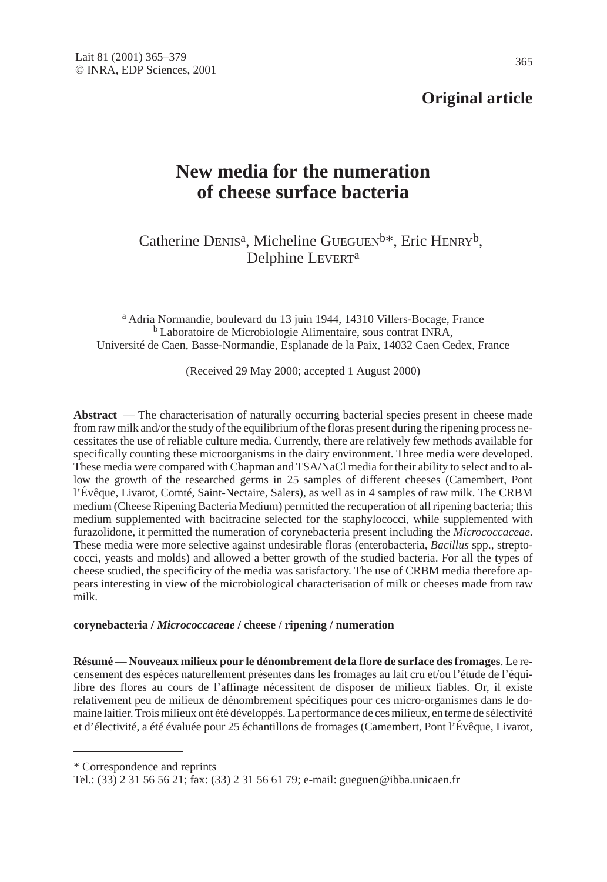## **Original article**

# **New media for the numeration of cheese surface bacteria**

Catherine DENIS<sup>a</sup>, Micheline GUEGUEN<sup>b\*</sup>, Eric HENRY<sup>b</sup>, Delphine LEVERTa

<sup>a</sup> Adria Normandie, boulevard du 13 juin 1944, 14310 Villers-Bocage, France <sup>b</sup> Laboratoire de Microbiologie Alimentaire, sous contrat INRA, Université de Caen, Basse-Normandie, Esplanade de la Paix, 14032 Caen Cedex, France

(Received 29 May 2000; accepted 1 August 2000)

**Abstract** — The characterisation of naturally occurring bacterial species present in cheese made from raw milk and/or the study of the equilibrium of the floras present during the ripening process necessitates the use of reliable culture media. Currently, there are relatively few methods available for specifically counting these microorganisms in the dairy environment. Three media were developed. These media were compared with Chapman and TSA/NaCl media for their ability to select and to allow the growth of the researched germs in 25 samples of different cheeses (Camembert, Pont l'Évêque, Livarot, Comté, Saint-Nectaire, Salers), as well as in 4 samples of raw milk. The CRBM medium (Cheese Ripening Bacteria Medium) permitted the recuperation of all ripening bacteria; this medium supplemented with bacitracine selected for the staphylococci, while supplemented with furazolidone, it permitted the numeration of corynebacteria present including the *Micrococcaceae*. These media were more selective against undesirable floras (enterobacteria, *Bacillus* spp., streptococci, yeasts and molds) and allowed a better growth of the studied bacteria. For all the types of cheese studied, the specificity of the media was satisfactory. The use of CRBM media therefore appears interesting in view of the microbiological characterisation of milk or cheeses made from raw milk.

#### **corynebacteria /** *Micrococcaceae* **/ cheese / ripening / numeration**

**Résumé** — **Nouveaux milieux pour le dénombrement de la flore de surface des fromages**. Le recensement des espèces naturellement présentes dans les fromages au lait cru et/ou l'étude de l'équilibre des flores au cours de l'affinage nécessitent de disposer de milieux fiables. Or, il existe relativement peu de milieux de dénombrement spécifiques pour ces micro-organismes dans le domaine laitier. Trois milieux ont été développés. La performance de ces milieux, en terme de sélectivité et d'électivité, a été évaluée pour 25 échantillons de fromages (Camembert, Pont l'Évêque, Livarot,

\* Correspondence and reprints

Tel.: (33) 2 31 56 56 21; fax: (33) 2 31 56 61 79; e-mail: gueguen@ibba.unicaen.fr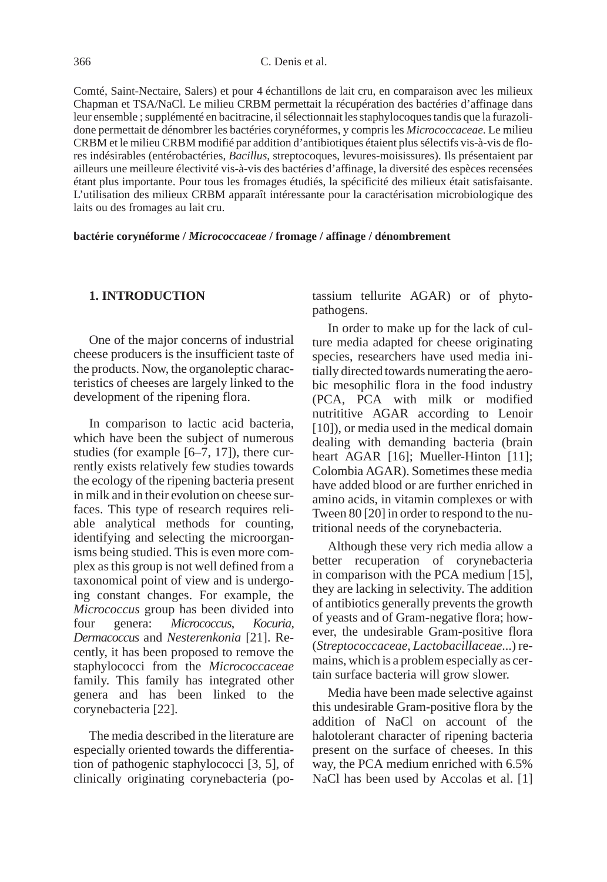Comté, Saint-Nectaire, Salers) et pour 4 échantillons de lait cru, en comparaison avec les milieux Chapman et TSA/NaCl. Le milieu CRBM permettait la récupération des bactéries d'affinage dans leur ensemble ; supplémenté en bacitracine, il sélectionnait les staphylocoques tandis que la furazolidone permettait de dénombrer les bactéries corynéformes, y compris les *Micrococcaceae*. Le milieu CRBM et le milieu CRBM modifié par addition d'antibiotiques étaient plus sélectifs vis-à-vis de flores indésirables (entérobactéries, *Bacillus*, streptocoques, levures-moisissures). Ils présentaient par ailleurs une meilleure électivité vis-à-vis des bactéries d'affinage, la diversité des espèces recensées étant plus importante. Pour tous les fromages étudiés, la spécificité des milieux était satisfaisante. L'utilisation des milieux CRBM apparaît intéressante pour la caractérisation microbiologique des laits ou des fromages au lait cru.

**bactérie corynéforme /** *Micrococcaceae* **/ fromage / affinage / dénombrement**

#### **1. INTRODUCTION**

One of the major concerns of industrial cheese producers is the insufficient taste of the products. Now, the organoleptic characteristics of cheeses are largely linked to the development of the ripening flora.

In comparison to lactic acid bacteria, which have been the subject of numerous studies (for example  $[6–7, 17]$ ), there currently exists relatively few studies towards the ecology of the ripening bacteria present in milk and in their evolution on cheese surfaces. This type of research requires reliable analytical methods for counting, identifying and selecting the microorganisms being studied. This is even more complex as this group is not well defined from a taxonomical point of view and is undergoing constant changes. For example, the *Micrococcus* group has been divided into four genera: *Micrococcus*, *Kocuria*, *Dermacoccus* and *Nesterenkonia* [21]. Recently, it has been proposed to remove the staphylococci from the *Micrococcaceae* family. This family has integrated other genera and has been linked to the corynebacteria [22].

The media described in the literature are especially oriented towards the differentiation of pathogenic staphylococci [3, 5], of clinically originating corynebacteria (potassium tellurite AGAR) or of phytopathogens.

In order to make up for the lack of culture media adapted for cheese originating species, researchers have used media initially directed towards numerating the aerobic mesophilic flora in the food industry (PCA, PCA with milk or modified nutrititive AGAR according to Lenoir [10]), or media used in the medical domain dealing with demanding bacteria (brain heart AGAR [16]; Mueller-Hinton [11]; Colombia AGAR). Sometimes these media have added blood or are further enriched in amino acids, in vitamin complexes or with Tween 80 [20] in order to respond to the nutritional needs of the corynebacteria.

Although these very rich media allow a better recuperation of corynebacteria in comparison with the PCA medium [15], they are lacking in selectivity. The addition of antibiotics generally prevents the growth of yeasts and of Gram-negative flora; however, the undesirable Gram-positive flora (*Streptococcaceae*, *Lactobacillaceae*...) remains, which is a problem especially as certain surface bacteria will grow slower.

Media have been made selective against this undesirable Gram-positive flora by the addition of NaCl on account of the halotolerant character of ripening bacteria present on the surface of cheeses. In this way, the PCA medium enriched with 6.5% NaCl has been used by Accolas et al. [1]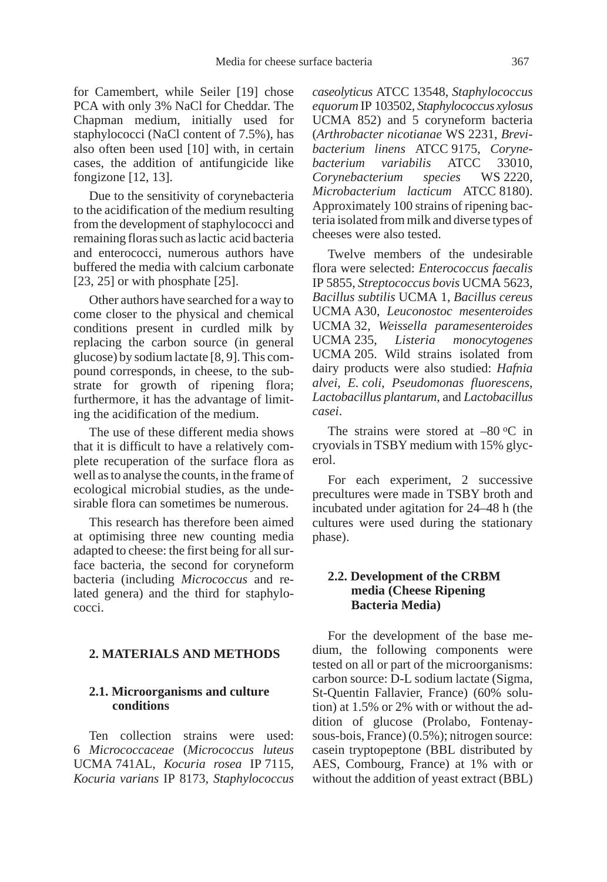for Camembert, while Seiler [19] chose PCA with only 3% NaCl for Cheddar. The Chapman medium, initially used for staphylococci (NaCl content of 7.5%), has also often been used [10] with, in certain cases, the addition of antifungicide like fongizone [12, 13].

Due to the sensitivity of corynebacteria to the acidification of the medium resulting from the development of staphylococci and remaining floras such as lactic acid bacteria and enterococci, numerous authors have buffered the media with calcium carbonate [23, 25] or with phosphate [25].

Other authors have searched for a way to come closer to the physical and chemical conditions present in curdled milk by replacing the carbon source (in general glucose) by sodium lactate [8, 9]. This compound corresponds, in cheese, to the substrate for growth of ripening flora; furthermore, it has the advantage of limiting the acidification of the medium.

The use of these different media shows that it is difficult to have a relatively complete recuperation of the surface flora as well as to analyse the counts, in the frame of ecological microbial studies, as the undesirable flora can sometimes be numerous.

This research has therefore been aimed at optimising three new counting media adapted to cheese: the first being for all surface bacteria, the second for coryneform bacteria (including *Micrococcus* and related genera) and the third for staphylococci.

#### **2. MATERIALS AND METHODS**

## **2.1. Microorganisms and culture conditions**

Ten collection strains were used: 6 *Micrococcaceae* (*Micrococcus luteus* UCMA 741AL, *Kocuria rosea* IP 7115, *Kocuria varians* IP 8173, *Staphylococcus* *caseolyticus* ATCC 13548, *Staphylococcus equorum* IP 103502, *Staphylococcus xylosus* UCMA 852) and 5 coryneform bacteria (*Arthrobacter nicotianae* WS 2231, *Brevibacterium linens* ATCC 9175, *Corynebacterium variabilis* ATCC 33010, *Corynebacterium species* WS 2220, *Microbacterium lacticum* ATCC 8180). Approximately 100 strains of ripening bacteria isolated from milk and diverse types of cheeses were also tested.

Twelve members of the undesirable flora were selected: *Enterococcus faecalis* IP 5855, *Streptococcus bovis* UCMA 5623, *Bacillus subtilis* UCMA 1, *Bacillus cereus* UCMA A30, *Leuconostoc mesenteroides* UCMA 32, *Weissella paramesenteroides* UCMA 235, *Listeria monocytogenes* UCMA 205. Wild strains isolated from dairy products were also studied: *Hafnia alvei*, *E. coli*, *Pseudomonas fluorescens*, *Lactobacillus plantarum*, and *Lactobacillus casei*.

The strains were stored at  $-80$  °C in cryovials in TSBY medium with 15% glycerol.

For each experiment, 2 successive precultures were made in TSBY broth and incubated under agitation for 24–48 h (the cultures were used during the stationary phase).

#### **2.2. Development of the CRBM media (Cheese Ripening Bacteria Media)**

For the development of the base medium, the following components were tested on all or part of the microorganisms: carbon source: D-L sodium lactate (Sigma, St-Quentin Fallavier, France) (60% solution) at 1.5% or 2% with or without the addition of glucose (Prolabo, Fontenaysous-bois, France) (0.5%); nitrogen source: casein tryptopeptone (BBL distributed by AES, Combourg, France) at 1% with or without the addition of yeast extract (BBL)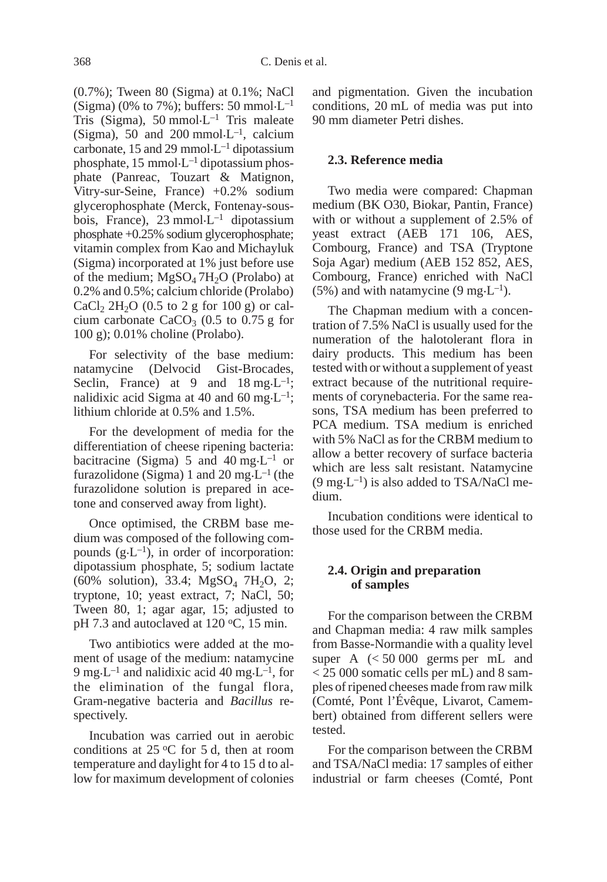(0.7%); Tween 80 (Sigma) at 0.1%; NaCl (Sigma) (0% to 7%); buffers: 50 mmol $\cdot L^{-1}$ Tris (Sigma), 50 mmol $\cdot L^{-1}$  Tris maleate (Sigma), 50 and 200 mmol $\cdot L^{-1}$ , calcium carbonate, 15 and 29 mmol $\cdot L^{-1}$  dipotassium phosphate,  $15 \text{ mmol} \cdot L^{-1}$  dipotassium phosphate (Panreac, Touzart & Matignon, Vitry-sur-Seine, France) +0.2% sodium glycerophosphate (Merck, Fontenay-sousbois, France),  $23 \text{ mmol} \cdot L^{-1}$  dipotassium phosphate +0.25% sodium glycerophosphate; vitamin complex from Kao and Michayluk (Sigma) incorporated at 1% just before use of the medium;  $MgSO<sub>4</sub> 7H<sub>2</sub>O$  (Prolabo) at 0.2% and 0.5%; calcium chloride (Prolabo) CaCl<sub>2</sub> 2H<sub>2</sub>O (0.5 to 2 g for 100 g) or calcium carbonate  $CaCO<sub>3</sub>$  (0.5 to 0.75 g for 100 g); 0.01% choline (Prolabo).

For selectivity of the base medium: natamycine (Delvocid Gist-Brocades, Seclin, France) at 9 and  $18 \text{ mg} \cdot \text{L}^{-1}$ ; nalidixic acid Sigma at 40 and 60 mg $L^{-1}$ ; lithium chloride at 0.5% and 1.5%.

For the development of media for the differentiation of cheese ripening bacteria: bacitracine (Sigma) 5 and 40 mg $\text{L}^{-1}$  or furazolidone (Sigma) 1 and 20 mg $L^{-1}$  (the furazolidone solution is prepared in acetone and conserved away from light).

Once optimised, the CRBM base medium was composed of the following compounds  $(g \cdot L^{-1})$ , in order of incorporation: dipotassium phosphate, 5; sodium lactate  $(60\% \text{ solution})$ , 33.4; MgSO<sub>4</sub> 7H<sub>2</sub>O, 2; tryptone, 10; yeast extract, 7; NaCl, 50; Tween 80, 1; agar agar, 15; adjusted to pH 7.3 and autoclaved at  $120 \degree C$ , 15 min.

Two antibiotics were added at the moment of usage of the medium: natamycine 9 mg $\cdot$ L<sup>-1</sup> and nalidixic acid 40 mg $\cdot$ L<sup>-1</sup>, for the elimination of the fungal flora, Gram-negative bacteria and *Bacillus* respectively.

Incubation was carried out in aerobic conditions at  $25 \,^{\circ}\text{C}$  for 5 d, then at room temperature and daylight for 4 to 15 d to allow for maximum development of colonies and pigmentation. Given the incubation conditions, 20 mL of media was put into 90 mm diameter Petri dishes.

#### **2.3. Reference media**

Two media were compared: Chapman medium (BK O30, Biokar, Pantin, France) with or without a supplement of 2.5% of yeast extract (AEB 171 106, AES, Combourg, France) and TSA (Tryptone Soja Agar) medium (AEB 152 852, AES, Combourg, France) enriched with NaCl (5%) and with natamycine (9 mg $\cdot L^{-1}$ ).

The Chapman medium with a concentration of 7.5% NaCl is usually used for the numeration of the halotolerant flora in dairy products. This medium has been tested with or without a supplement of yeast extract because of the nutritional requirements of corynebacteria. For the same reasons, TSA medium has been preferred to PCA medium. TSA medium is enriched with 5% NaCl as for the CRBM medium to allow a better recovery of surface bacteria which are less salt resistant. Natamycine  $(9 \text{ mg} \cdot \text{L}^{-1})$  is also added to TSA/NaCl medium.

Incubation conditions were identical to those used for the CRBM media.

## **2.4. Origin and preparation of samples**

For the comparison between the CRBM and Chapman media: 4 raw milk samples from Basse-Normandie with a quality level super A  $\leq 50000$  germs per mL and < 25 000 somatic cells per mL) and 8 samples of ripened cheeses made from raw milk (Comté, Pont l'Évêque, Livarot, Camembert) obtained from different sellers were tested.

For the comparison between the CRBM and TSA/NaCl media: 17 samples of either industrial or farm cheeses (Comté, Pont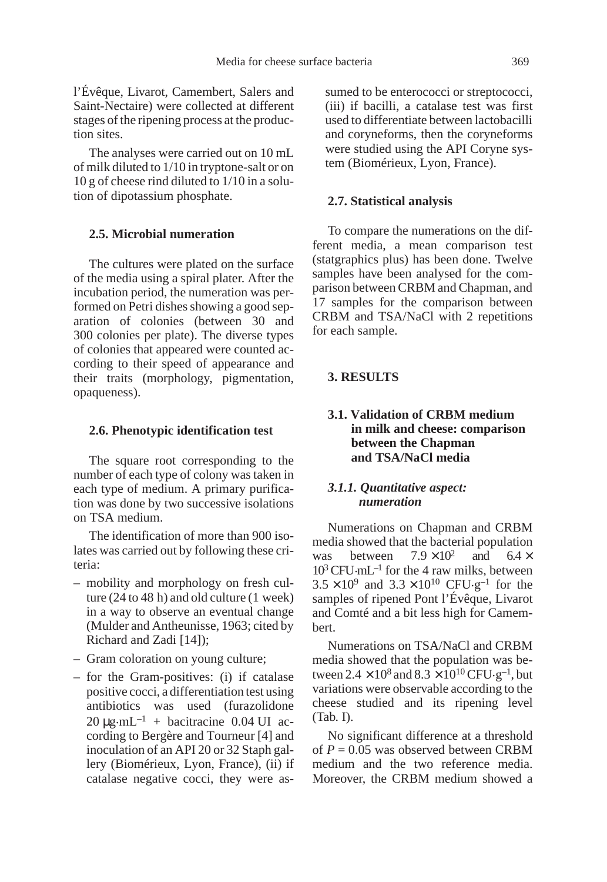l'Évêque, Livarot, Camembert, Salers and Saint-Nectaire) were collected at different stages of the ripening process at the production sites.

The analyses were carried out on 10 mL of milk diluted to 1/10 in tryptone-salt or on 10 g of cheese rind diluted to 1/10 in a solution of dipotassium phosphate.

#### **2.5. Microbial numeration**

The cultures were plated on the surface of the media using a spiral plater. After the incubation period, the numeration was performed on Petri dishes showing a good separation of colonies (between 30 and 300 colonies per plate). The diverse types of colonies that appeared were counted according to their speed of appearance and their traits (morphology, pigmentation, opaqueness).

#### **2.6. Phenotypic identification test**

The square root corresponding to the number of each type of colony was taken in each type of medium. A primary purification was done by two successive isolations on TSA medium.

The identification of more than 900 isolates was carried out by following these criteria:

- mobility and morphology on fresh culture (24 to 48 h) and old culture (1 week) in a way to observe an eventual change (Mulder and Antheunisse, 1963; cited by Richard and Zadi [14]);
- Gram coloration on young culture;
- for the Gram-positives: (i) if catalase positive cocci, a differentiation test using antibiotics was used (furazolidone  $20 \mu$ g.mL<sup>-1</sup> + bacitracine 0.04 UI according to Bergère and Tourneur [4] and inoculation of an API 20 or 32 Staph gallery (Biomérieux, Lyon, France), (ii) if catalase negative cocci, they were as-

sumed to be enterococci or streptococci, (iii) if bacilli, a catalase test was first used to differentiate between lactobacilli and coryneforms, then the coryneforms were studied using the API Coryne system (Biomérieux, Lyon, France).

#### **2.7. Statistical analysis**

To compare the numerations on the different media, a mean comparison test (statgraphics plus) has been done. Twelve samples have been analysed for the comparison between CRBM and Chapman, and 17 samples for the comparison between CRBM and TSA/NaCl with 2 repetitions for each sample.

#### **3. RESULTS**

## **3.1. Validation of CRBM medium in milk and cheese: comparison between the Chapman and TSA/NaCl media**

#### *3.1.1. Quantitative aspect: numeration*

Numerations on Chapman and CRBM media showed that the bacterial population<br>was between  $7.9 \times 10^2$  and  $6.4 \times$ was between  $7.9 \times 10^2$  and  $6.4 \times$  $10^3$  CFU·mL<sup>-1</sup> for the 4 raw milks, between  $3.5 \times 10^{9}$  and  $3.3 \times 10^{10}$  CFU.g<sup>-1</sup> for the samples of ripened Pont l'Évêque, Livarot and Comté and a bit less high for Camembert.

Numerations on TSA/NaCl and CRBM media showed that the population was between  $2.4 \times 10^8$  and  $8.3 \times 10^{10}$  CFU $\cdot$ g<sup>-1</sup>, but variations were observable according to the cheese studied and its ripening level (Tab. I).

No significant difference at a threshold of  $P = 0.05$  was observed between CRBM medium and the two reference media. Moreover, the CRBM medium showed a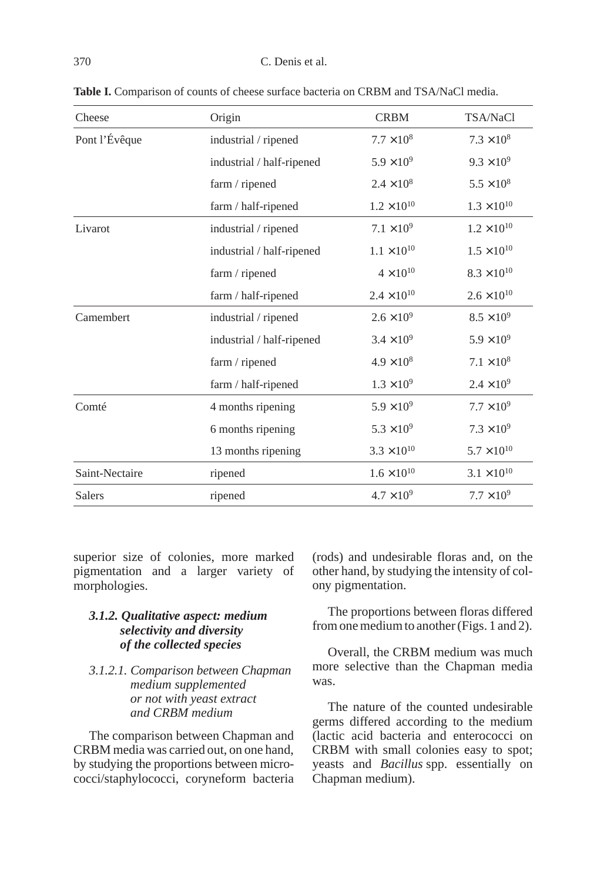| Cheese         | Origin                    | <b>CRBM</b>          | TSA/NaCl             |
|----------------|---------------------------|----------------------|----------------------|
| Pont l'Évêque  | industrial / ripened      | $7.7 \times 10^8$    | $7.3 \times 10^8$    |
|                | industrial / half-ripened | $5.9 \times 10^{9}$  | $9.3 \times 10^{9}$  |
|                | farm / ripened            | $2.4 \times 10^8$    | $5.5 \times 10^{8}$  |
|                | farm / half-ripened       | $1.2 \times 10^{10}$ | $1.3 \times 10^{10}$ |
| Livarot        | industrial / ripened      | $7.1 \times 10^{9}$  | $1.2 \times 10^{10}$ |
|                | industrial / half-ripened | $1.1 \times 10^{10}$ | $1.5 \times 10^{10}$ |
|                | farm / ripened            | $4 \times 10^{10}$   | $8.3 \times 10^{10}$ |
|                | farm / half-ripened       | $2.4 \times 10^{10}$ | $2.6 \times 10^{10}$ |
| Camembert      | industrial / ripened      | $2.6 \times 10^{9}$  | $8.5 \times 10^{9}$  |
|                | industrial / half-ripened | $3.4 \times 10^{9}$  | $5.9 \times 10^{9}$  |
|                | farm / ripened            | $4.9 \times 10^{8}$  | $7.1 \times 10^8$    |
|                | farm / half-ripened       | $1.3 \times 10^{9}$  | $2.4 \times 10^{9}$  |
| Comté          | 4 months ripening         | $5.9 \times 10^{9}$  | $7.7 \times 10^{9}$  |
|                | 6 months ripening         | $5.3 \times 10^{9}$  | $7.3 \times 10^{9}$  |
|                | 13 months ripening        | $3.3 \times 10^{10}$ | $5.7 \times 10^{10}$ |
| Saint-Nectaire | ripened                   | $1.6 \times 10^{10}$ | $3.1 \times 10^{10}$ |
| <b>Salers</b>  | ripened                   | $4.7 \times 10^{9}$  | $7.7 \times 10^{9}$  |

**Table I.** Comparison of counts of cheese surface bacteria on CRBM and TSA/NaCl media.

superior size of colonies, more marked pigmentation and a larger variety of morphologies.

## *3.1.2. Qualitative aspect: medium selectivity and diversity of the collected species*

## *3.1.2.1. Comparison between Chapman medium supplemented or not with yeast extract and CRBM medium*

The comparison between Chapman and CRBM media was carried out, on one hand, by studying the proportions between micrococci/staphylococci, coryneform bacteria (rods) and undesirable floras and, on the other hand, by studying the intensity of colony pigmentation.

The proportions between floras differed from one medium to another (Figs. 1 and 2).

Overall, the CRBM medium was much more selective than the Chapman media was.

The nature of the counted undesirable germs differed according to the medium (lactic acid bacteria and enterococci on CRBM with small colonies easy to spot; yeasts and *Bacillus* spp. essentially on Chapman medium).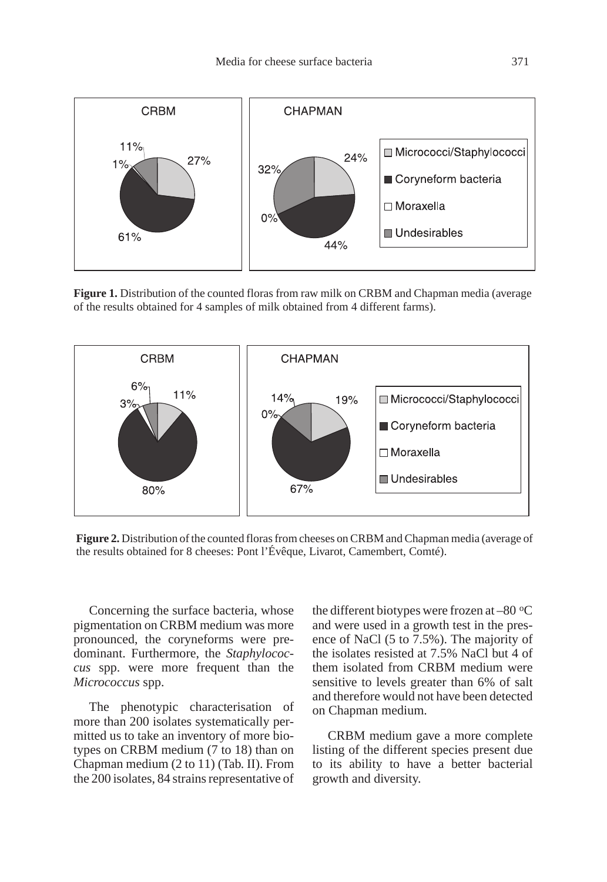

**Figure 1.** Distribution of the counted floras from raw milk on CRBM and Chapman media (average of the results obtained for 4 samples of milk obtained from 4 different farms).



**Figure 2.** Distribution of the counted floras from cheeses on CRBM and Chapman media (average of the results obtained for 8 cheeses: Pont l'Évêque, Livarot, Camembert, Comté).

Concerning the surface bacteria, whose pigmentation on CRBM medium was more pronounced, the coryneforms were predominant. Furthermore, the *Staphylococcus* spp. were more frequent than the *Micrococcus* spp.

The phenotypic characterisation of more than 200 isolates systematically permitted us to take an inventory of more biotypes on CRBM medium (7 to 18) than on Chapman medium (2 to 11) (Tab. II). From the 200 isolates, 84 strains representative of the different biotypes were frozen at  $-80$  °C and were used in a growth test in the presence of NaCl (5 to 7.5%). The majority of the isolates resisted at 7.5% NaCl but 4 of them isolated from CRBM medium were sensitive to levels greater than 6% of salt and therefore would not have been detected on Chapman medium.

CRBM medium gave a more complete listing of the different species present due to its ability to have a better bacterial growth and diversity.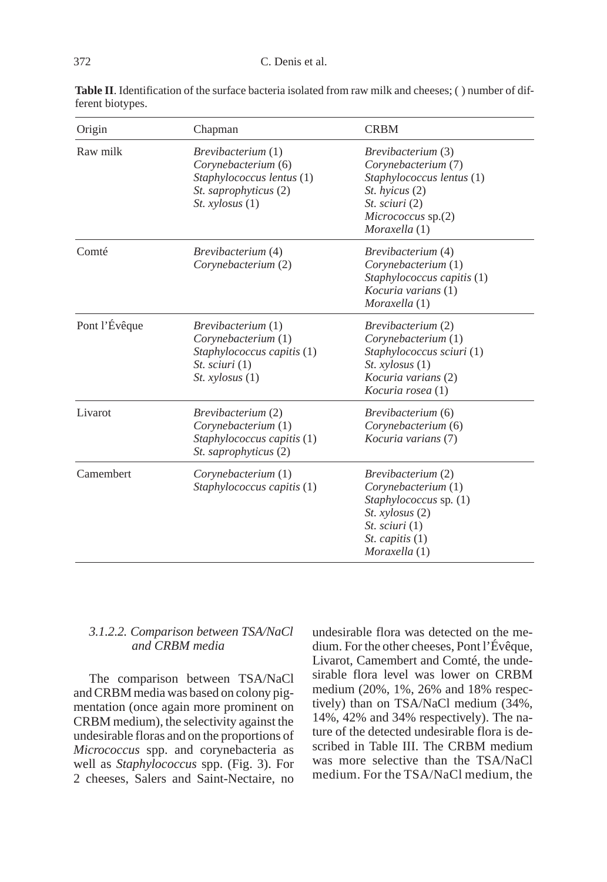| Origin        | Chapman                                                                                                                               | <b>CRBM</b>                                                                                                                                                                  |  |  |
|---------------|---------------------------------------------------------------------------------------------------------------------------------------|------------------------------------------------------------------------------------------------------------------------------------------------------------------------------|--|--|
| Raw milk      | <i>Brevibacterium</i> (1)<br>Corynebacterium (6)<br>Staphylococcus lentus (1)<br>St. saprophyticus (2)<br>St. xylosus(1)              | <i>Brevibacterium</i> (3)<br>Corynebacterium (7)<br>Staphylococcus lentus (1)<br>St. hyicus (2)<br>St. sciuri (2)<br>Micrococcus sp.(2)<br>Moraxella (1)                     |  |  |
| Comté         | <i>Brevibacterium</i> (4)<br>Corynebacterium (2)                                                                                      | <i>Brevibacterium</i> (4)<br>Corynebacterium (1)<br>Staphylococcus capitis (1)<br><i>Kocuria varians</i> (1)<br>Moraxella (1)                                                |  |  |
| Pont l'Évêque | <i>Brevibacterium</i> (1)<br>Corynebacterium (1)<br>Staphylococcus capitis (1)<br><i>St. sciuri</i> $(1)$<br><i>St. xylosus</i> $(1)$ | <i>Brevibacterium</i> (2)<br>Corynebacterium (1)<br>Staphylococcus sciuri (1)<br><i>St. xylosus</i> $(1)$<br>Kocuria varians (2)<br>Kocuria rosea (1)                        |  |  |
| Livarot       | <i>Brevibacterium</i> (2)<br>Corynebacterium (1)<br>Staphylococcus capitis (1)<br><i>St. saprophyticus</i> (2)                        | <i>Brevibacterium</i> (6)<br>Corynebacterium (6)<br>Kocuria varians (7)                                                                                                      |  |  |
| Camembert     | Corynebacterium (1)<br>Staphylococcus capitis (1)                                                                                     | Brevibacterium (2)<br>Corynebacterium (1)<br><i>Staphylococcus sp.</i> (1)<br><i>St. xylosus</i> $(2)$<br><i>St. sciuri</i> (1)<br><i>St. capitis</i> $(1)$<br>Moraxella (1) |  |  |

**Table II**. Identification of the surface bacteria isolated from raw milk and cheeses; ( ) number of different biotypes.

## *3.1.2.2. Comparison between TSA/NaCl and CRBM media*

The comparison between TSA/NaCl and CRBM media was based on colony pigmentation (once again more prominent on CRBM medium), the selectivity against the undesirable floras and on the proportions of *Micrococcus* spp. and corynebacteria as well as *Staphylococcus* spp. (Fig. 3). For 2 cheeses, Salers and Saint-Nectaire, no undesirable flora was detected on the medium. For the other cheeses, Pont l'Évêque, Livarot, Camembert and Comté, the undesirable flora level was lower on CRBM medium (20%, 1%, 26% and 18% respectively) than on TSA/NaCl medium (34%, 14%, 42% and 34% respectively). The nature of the detected undesirable flora is described in Table III. The CRBM medium was more selective than the TSA/NaCl medium. For the TSA/NaCl medium, the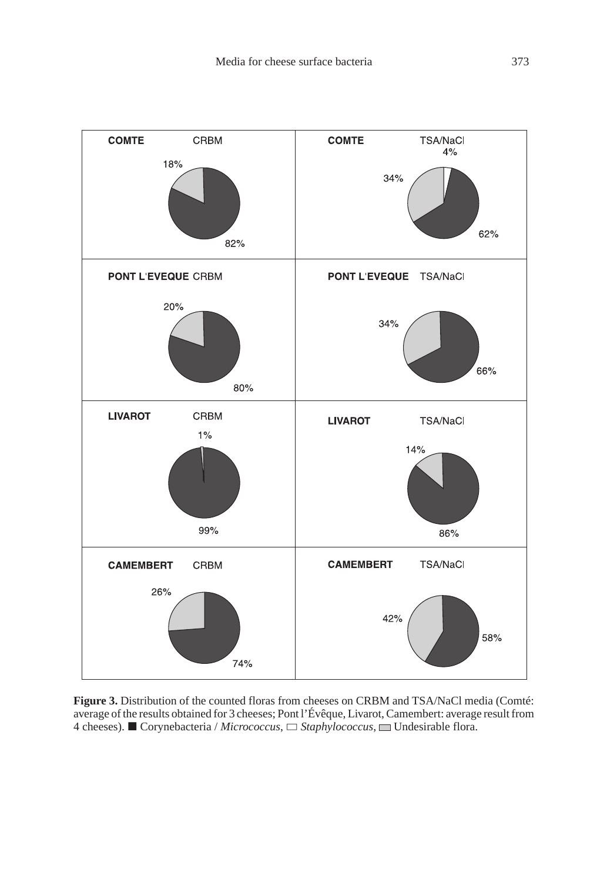

**Figure 3.** Distribution of the counted floras from cheeses on CRBM and TSA/NaCl media (Comté: average of the results obtained for 3 cheeses; Pont l'Évêque, Livarot, Camembert: average result from 4 cheeses). ■ Corynebacteria / *Micrococcus*, □ *Staphylococcus*, ■ Undesirable flora.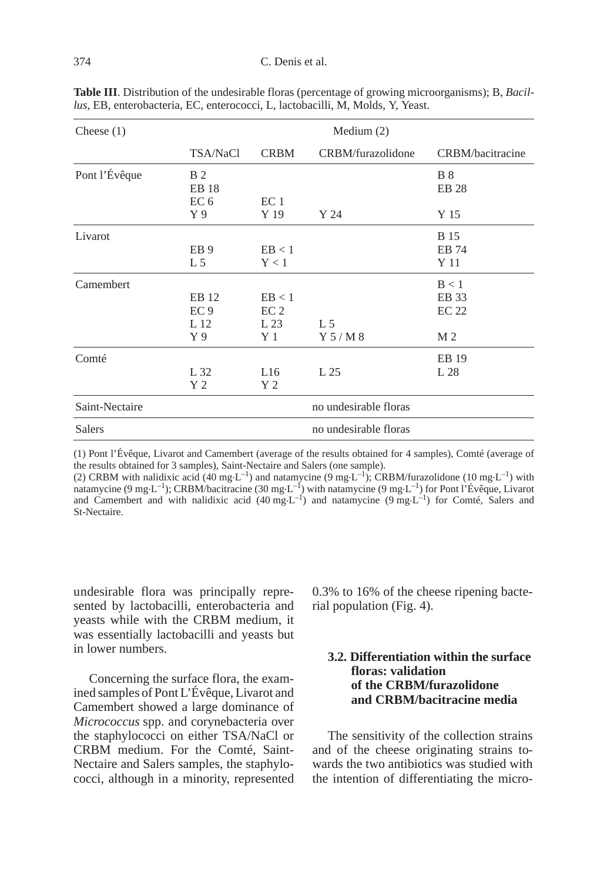| Cheese $(1)$   |                                               | Medium $(2)$                                        |                           |                                |  |
|----------------|-----------------------------------------------|-----------------------------------------------------|---------------------------|--------------------------------|--|
|                | TSA/NaCl                                      | <b>CRBM</b>                                         | CRBM/furazolidone         | CRBM/bacitracine               |  |
| Pont l'Évêque  | <b>B</b> 2<br><b>EB</b> 18<br>EC <sub>6</sub> | EC <sub>1</sub>                                     |                           | <b>B</b> 8<br><b>EB 28</b>     |  |
|                | $Y_{9}$                                       | Y 19                                                | Y 24                      | Y 15                           |  |
| Livarot        | EB <sub>9</sub><br>L <sub>5</sub>             | EB < 1<br>Y < 1                                     |                           | <b>B</b> 15<br>EB 74<br>Y 11   |  |
| Camembert      | EB 12<br>EC <sub>9</sub><br>L 12<br>Y 9       | EB < 1<br>EC <sub>2</sub><br>L <sub>23</sub><br>Y 1 | L <sub>5</sub><br>Y 5/M 8 | B < 1<br>EB 33<br>EC 22<br>M 2 |  |
| Comté          | L 32<br>Y <sub>2</sub>                        | L16<br>Y 2                                          | L 25                      | EB 19<br>L 28                  |  |
| Saint-Nectaire | no undesirable floras                         |                                                     |                           |                                |  |
| <b>Salers</b>  | no undesirable floras                         |                                                     |                           |                                |  |

**Table III**. Distribution of the undesirable floras (percentage of growing microorganisms); B, *Bacillus*, EB, enterobacteria, EC, enterococci, L, lactobacilli, M, Molds, Y, Yeast.

(1) Pont l'Évêque, Livarot and Camembert (average of the results obtained for 4 samples), Comté (average of

the results obtained for 3 samples), Saint-Nectaire and Salers (one sample).<br>(2) CRBM with nalidixic acid (40 mg·L<sup>-1</sup>) and natamycine (9 mg·L<sup>-1</sup>); CRBM/furazolidone (10 mg·L<sup>-1</sup>) with natamycine (9 mg $L^{-1}$ ); CRBM/bacitracine (30 mg $L^{-1}$ ) with natamycine (9 mg $L^{-1}$ ) for Pont l'Évêque, Livarot and Camembert and with nalidixic acid  $(40 \text{ mg} \cdot \text{L}^{-1})$  and natamycine  $(9 \text{ mg} \cdot \text{L}^{-1})$  for Comté, Salers and St-Nectaire.

undesirable flora was principally represented by lactobacilli, enterobacteria and yeasts while with the CRBM medium, it was essentially lactobacilli and yeasts but in lower numbers.

Concerning the surface flora, the examined samples of Pont L'Évêque, Livarot and Camembert showed a large dominance of *Micrococcus* spp. and corynebacteria over the staphylococci on either TSA/NaCl or CRBM medium. For the Comté, Saint-Nectaire and Salers samples, the staphylococci, although in a minority, represented 0.3% to 16% of the cheese ripening bacterial population (Fig. 4).

## **3.2. Differentiation within the surface floras: validation of the CRBM/furazolidone and CRBM/bacitracine media**

The sensitivity of the collection strains and of the cheese originating strains towards the two antibiotics was studied with the intention of differentiating the micro-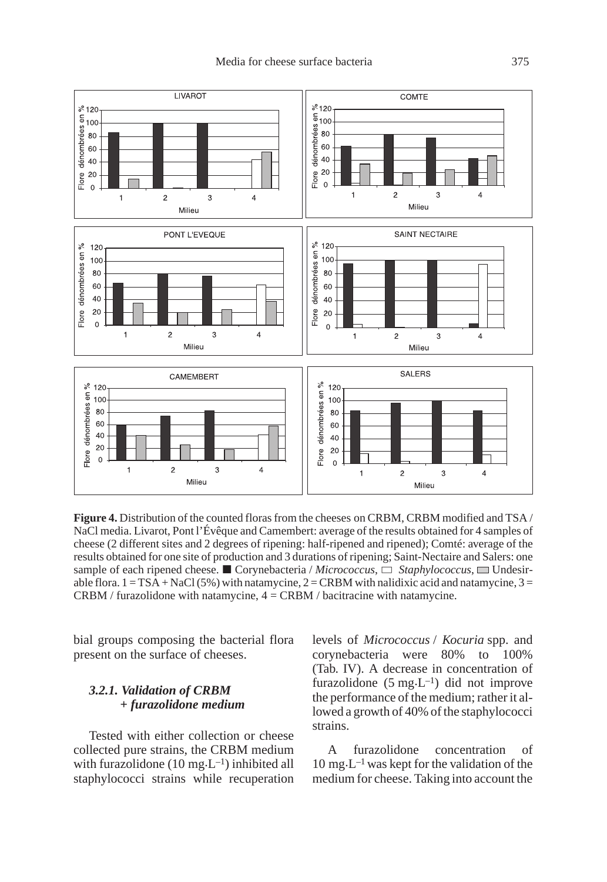

**Figure 4.** Distribution of the counted floras from the cheeses on CRBM, CRBM modified and TSA / NaCl media. Livarot, Pont l'Évêque and Camembert: average of the results obtained for 4 samples of cheese (2 different sites and 2 degrees of ripening: half-ripened and ripened); Comté: average of the results obtained for one site of production and 3 durations of ripening; Saint-Nectaire and Salers: one sample of each ripened cheese.  $\blacksquare$  Corynebacteria / *Micrococcus*,  $\Box$  *Staphylococcus*,  $\blacksquare$  Undesirable flora.  $1 = TSA + NaCl(5\%)$  with natamycine,  $2 = CRBM$  with nalidixic acid and natamycine,  $3 =$  $CRBM /$  furazolidone with natamycine,  $4 = CRBM /$  bacitracine with natamycine.

bial groups composing the bacterial flora present on the surface of cheeses.

## *3.2.1. Validation of CRBM + furazolidone medium*

Tested with either collection or cheese collected pure strains, the CRBM medium with furazolidone (10 mg $\cdot L^{-1}$ ) inhibited all staphylococci strains while recuperation levels of *Micrococcus* / *Kocuria* spp. and corynebacteria were 80% to 100% (Tab. IV). A decrease in concentration of furazolidone  $(5 \text{ mg} \cdot \text{L}^{-1})$  did not improve the performance of the medium; rather it allowed a growth of 40% of the staphylococci strains.

A furazolidone concentration of  $10 \text{ mg-L}^{-1}$  was kept for the validation of the medium for cheese. Taking into account the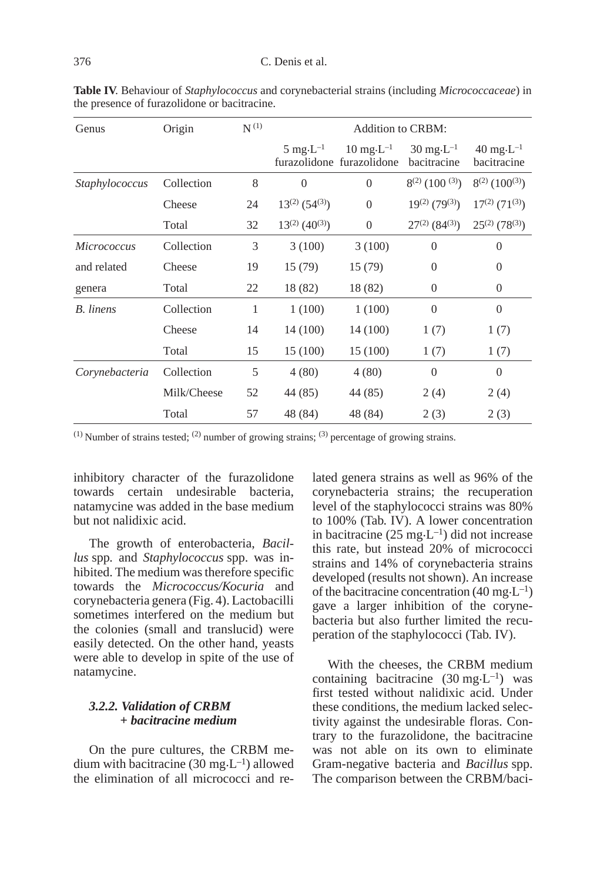| Genus            | Origin      | $\mathbf{N}^{\,(1)}$ | <b>Addition to CRBM:</b>        |                                                           |                                             |                                             |
|------------------|-------------|----------------------|---------------------------------|-----------------------------------------------------------|---------------------------------------------|---------------------------------------------|
|                  |             |                      | $5 \text{ mg} \cdot L^{-1}$     | $10 \text{ mg} \cdot L^{-1}$<br>furazolidone furazolidone | $30 \text{ mg} \cdot L^{-1}$<br>bacitracine | $40 \text{ mg} \cdot L^{-1}$<br>bacitracine |
| Staphylococcus   | Collection  | 8                    | $\Omega$                        | $\overline{0}$                                            | $8^{(2)}$ (100 <sup>(3)</sup> )             | $8^{(2)}$ (100 <sup>(3)</sup> )             |
|                  | Cheese      | 24                   | $13^{(2)}$ (54 <sup>(3)</sup> ) | $\overline{0}$                                            | $19^{(2)}$ (79 <sup>(3)</sup> )             | $17^{(2)}$ (71 <sup>(3)</sup> )             |
|                  | Total       | 32                   | $13^{(2)}$ (40 <sup>(3)</sup> ) | $\theta$                                                  | $27^{(2)}$ (84 <sup>(3)</sup> )             | $25^{(2)}$ (78 <sup>(3)</sup> )             |
| Micrococcus      | Collection  | 3                    | 3(100)                          | 3(100)                                                    | $\theta$                                    | $\overline{0}$                              |
| and related      | Cheese      | 19                   | 15(79)                          | 15(79)                                                    | $\Omega$                                    | $\Omega$                                    |
| genera           | Total       | 22                   | 18 (82)                         | 18 (82)                                                   | $\overline{0}$                              | $\Omega$                                    |
| <b>B.</b> linens | Collection  | 1                    | 1(100)                          | 1(100)                                                    | $\overline{0}$                              | $\overline{0}$                              |
|                  | Cheese      | 14                   | 14 (100)                        | 14 (100)                                                  | 1(7)                                        | 1(7)                                        |
|                  | Total       | 15                   | 15 (100)                        | 15 (100)                                                  | 1(7)                                        | 1(7)                                        |
| Corynebacteria   | Collection  | 5                    | 4(80)                           | 4(80)                                                     | $\Omega$                                    | $\theta$                                    |
|                  | Milk/Cheese | 52                   | 44 (85)                         | 44 (85)                                                   | 2(4)                                        | 2(4)                                        |
|                  | Total       | 57                   | 48 (84)                         | 48 (84)                                                   | 2(3)                                        | 2(3)                                        |

**Table IV**. Behaviour of *Staphylococcus* and corynebacterial strains (including *Micrococcaceae*) in the presence of furazolidone or bacitracine.

 $(1)$  Number of strains tested;  $(2)$  number of growing strains;  $(3)$  percentage of growing strains.

inhibitory character of the furazolidone towards certain undesirable bacteria, natamycine was added in the base medium but not nalidixic acid.

The growth of enterobacteria, *Bacillus* spp*.* and *Staphylococcus* spp. was inhibited. The medium was therefore specific towards the *Micrococcus/Kocuria* and corynebacteria genera (Fig. 4). Lactobacilli sometimes interfered on the medium but the colonies (small and translucid) were easily detected. On the other hand, yeasts were able to develop in spite of the use of natamycine.

## *3.2.2. Validation of CRBM + bacitracine medium*

On the pure cultures, the CRBM medium with bacitracine (30 mg $\cdot L^{-1}$ ) allowed the elimination of all micrococci and related genera strains as well as 96% of the corynebacteria strains; the recuperation level of the staphylococci strains was 80% to 100% (Tab. IV). A lower concentration in bacitracine ( $25 \text{ mg} \cdot L^{-1}$ ) did not increase this rate, but instead 20% of micrococci strains and 14% of corynebacteria strains developed (results not shown). An increase of the bacitracine concentration  $(40 \text{ mg} \cdot \text{L}^{-1})$ gave a larger inhibition of the corynebacteria but also further limited the recuperation of the staphylococci (Tab. IV).

With the cheeses, the CRBM medium containing bacitracine  $(30 \text{ mg} \cdot \text{L}^{-1})$  was first tested without nalidixic acid. Under these conditions, the medium lacked selectivity against the undesirable floras. Contrary to the furazolidone, the bacitracine was not able on its own to eliminate Gram-negative bacteria and *Bacillus* spp. The comparison between the CRBM/baci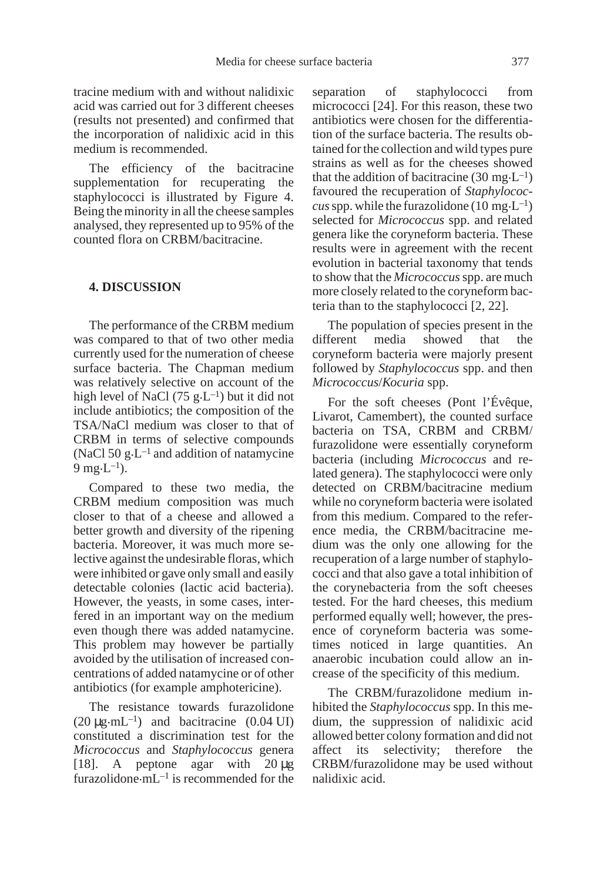tracine medium with and without nalidixic acid was carried out for 3 different cheeses (results not presented) and confirmed that the incorporation of nalidixic acid in this medium is recommended.

The efficiency of the bacitracine supplementation for recuperating the staphylococci is illustrated by Figure 4. Being the minority in all the cheese samples analysed, they represented up to 95% of the counted flora on CRBM/bacitracine.

#### **4. DISCUSSION**

The performance of the CRBM medium was compared to that of two other media currently used for the numeration of cheese surface bacteria. The Chapman medium was relatively selective on account of the high level of NaCl  $(75 \text{ g} \cdot \text{L}^{-1})$  but it did not include antibiotics; the composition of the TSA/NaCl medium was closer to that of CRBM in terms of selective compounds (NaCl 50  $g \cdot L^{-1}$  and addition of natamycine  $9 \text{ mg} \cdot L^{-1}$ ).

Compared to these two media, the CRBM medium composition was much closer to that of a cheese and allowed a better growth and diversity of the ripening bacteria. Moreover, it was much more selective against the undesirable floras, which were inhibited or gave only small and easily detectable colonies (lactic acid bacteria). However, the yeasts, in some cases, interfered in an important way on the medium even though there was added natamycine. This problem may however be partially avoided by the utilisation of increased concentrations of added natamycine or of other antibiotics (for example amphotericine).

The resistance towards furazolidone  $(20 \mu g \cdot mL^{-1})$  and bacitracine  $(0.04 \text{ UI})$ constituted a discrimination test for the *Micrococcus* and *Staphylococcus* genera [18]. A peptone agar with 20 µg furazolidone. $mL^{-1}$  is recommended for the

separation of staphylococci from micrococci [24]. For this reason, these two antibiotics were chosen for the differentiation of the surface bacteria. The results obtained for the collection and wild types pure strains as well as for the cheeses showed that the addition of bacitracine  $(30 \text{ mg} \cdot \text{L}^{-1})$ favoured the recuperation of *Staphylococcus* spp. while the furazolidone (10 mg $\text{L}^{-1}$ ) selected for *Micrococcus* spp. and related genera like the coryneform bacteria. These results were in agreement with the recent evolution in bacterial taxonomy that tends to show that the *Micrococcus*spp. are much more closely related to the coryneform bacteria than to the staphylococci [2, 22].

The population of species present in the different media showed that the coryneform bacteria were majorly present followed by *Staphylococcus* spp. and then *Micrococcus*/*Kocuria* spp.

For the soft cheeses (Pont l'Évêque, Livarot, Camembert), the counted surface bacteria on TSA, CRBM and CRBM/ furazolidone were essentially coryneform bacteria (including *Micrococcus* and related genera). The staphylococci were only detected on CRBM/bacitracine medium while no coryneform bacteria were isolated from this medium. Compared to the reference media, the CRBM/bacitracine medium was the only one allowing for the recuperation of a large number of staphylococci and that also gave a total inhibition of the corynebacteria from the soft cheeses tested. For the hard cheeses, this medium performed equally well; however, the presence of coryneform bacteria was sometimes noticed in large quantities. An anaerobic incubation could allow an increase of the specificity of this medium.

The CRBM/furazolidone medium inhibited the *Staphylococcus* spp. In this medium, the suppression of nalidixic acid allowed better colony formation and did not affect its selectivity; therefore the CRBM/furazolidone may be used without nalidixic acid.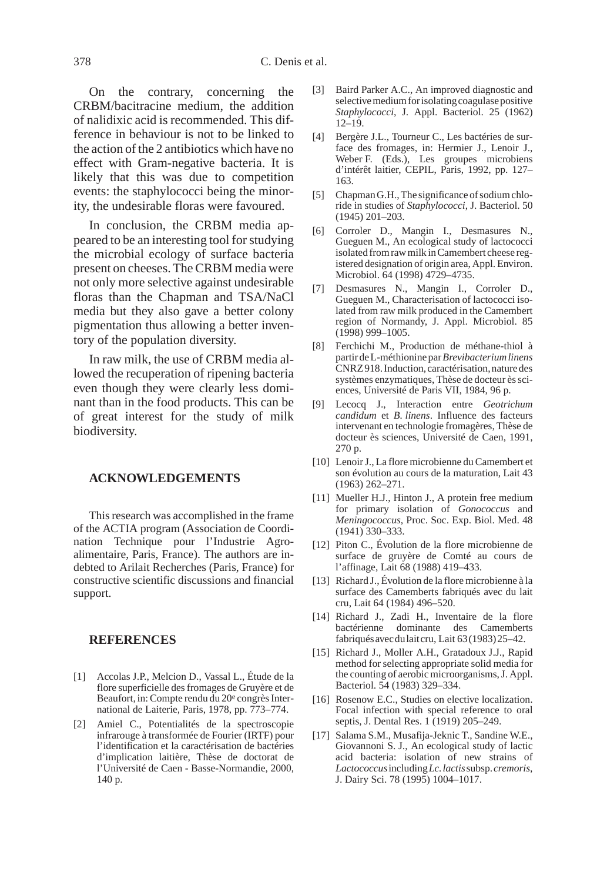On the contrary, concerning the CRBM/bacitracine medium, the addition of nalidixic acid is recommended. This difference in behaviour is not to be linked to the action of the 2 antibiotics which have no effect with Gram-negative bacteria. It is likely that this was due to competition events: the staphylococci being the minority, the undesirable floras were favoured.

In conclusion, the CRBM media appeared to be an interesting tool for studying the microbial ecology of surface bacteria present on cheeses. The CRBM media were not only more selective against undesirable floras than the Chapman and TSA/NaCl media but they also gave a better colony pigmentation thus allowing a better inventory of the population diversity.

In raw milk, the use of CRBM media allowed the recuperation of ripening bacteria even though they were clearly less dominant than in the food products. This can be of great interest for the study of milk biodiversity.

#### **ACKNOWLEDGEMENTS**

This research was accomplished in the frame of the ACTIA program (Association de Coordination Technique pour l'Industrie Agroalimentaire, Paris, France). The authors are indebted to Arilait Recherches (Paris, France) for constructive scientific discussions and financial support.

## **REFERENCES**

- [1] Accolas J.P., Melcion D., Vassal L., Étude de la flore superficielle des fromages de Gruyère et de Beaufort, in: Compte rendu du 20<sup>e</sup> congrès International de Laiterie, Paris, 1978, pp. 773–774.
- [2] Amiel C., Potentialités de la spectroscopie infrarouge à transformée de Fourier (IRTF) pour l'identification et la caractérisation de bactéries d'implication laitière, Thèse de doctorat de l'Université de Caen - Basse-Normandie, 2000, 140 p.
- [3] Baird Parker A.C., An improved diagnostic and selective medium for isolating coagulase positive *Staphylococci*, J. Appl. Bacteriol. 25 (1962) 12–19.
- [4] Bergère J.L., Tourneur C., Les bactéries de surface des fromages, in: Hermier J., Lenoir J., Weber F. (Eds.), Les groupes microbiens d'intérêt laitier, CEPIL, Paris, 1992, pp. 127– 163.
- [5] Chapman G.H., The significance of sodium chloride in studies of *Staphylococci*, J. Bacteriol. 50 (1945) 201–203.
- [6] Corroler D., Mangin I., Desmasures N., Gueguen M., An ecological study of lactococci isolated from raw milk in Camembert cheese registered designation of origin area, Appl. Environ. Microbiol. 64 (1998) 4729–4735.
- [7] Desmasures N., Mangin I., Corroler D., Gueguen M., Characterisation of lactococci isolated from raw milk produced in the Camembert region of Normandy, J. Appl. Microbiol. 85 (1998) 999–1005.
- [8] Ferchichi M., Production de méthane-thiol à partirdeL-méthioninepar*Brevibacteriumlinens* CNRZ918.Induction,caractérisation,naturedes systèmes enzymatiques, Thèse de docteur ès sciences, Université de Paris VII, 1984, 96 p.
- [9] Lecocq J., Interaction entre *Geotrichum candidum* et *B. linens*. Influence des facteurs intervenant en technologie fromagères, Thèse de docteur ès sciences, Université de Caen, 1991, 270 p.
- [10] Lenoir J., La flore microbienne du Camembert et son évolution au cours de la maturation, Lait 43 (1963) 262–271.
- [11] Mueller H.J., Hinton J., A protein free medium for primary isolation of *Gonococcus* and *Meningococcus*, Proc. Soc. Exp. Biol. Med. 48 (1941) 330–333.
- [12] Piton C., Évolution de la flore microbienne de surface de gruyère de Comté au cours de l'affinage, Lait 68 (1988) 419–433.
- [13] Richard J., Évolution de la flore microbienne à la surface des Camemberts fabriqués avec du lait cru, Lait 64 (1984) 496–520.
- [14] Richard J., Zadi H., Inventaire de la flore bactérienne dominante des Camemberts fabriquésavecdulaitcru, Lait 63(1983)25–42.
- [15] Richard J., Moller A.H., Gratadoux J.J., Rapid method for selecting appropriate solid media for the counting of aerobic microorganisms, J. Appl. Bacteriol. 54 (1983) 329–334.
- [16] Rosenow E.C., Studies on elective localization. Focal infection with special reference to oral septis, J. Dental Res. 1 (1919) 205–249.
- [17] Salama S.M., Musafija-Jeknic T., Sandine W.E., Giovannoni S. J., An ecological study of lactic acid bacteria: isolation of new strains of *Lactococcus*including*Lc.lactis*subsp.*cremoris*, J. Dairy Sci. 78 (1995) 1004–1017.